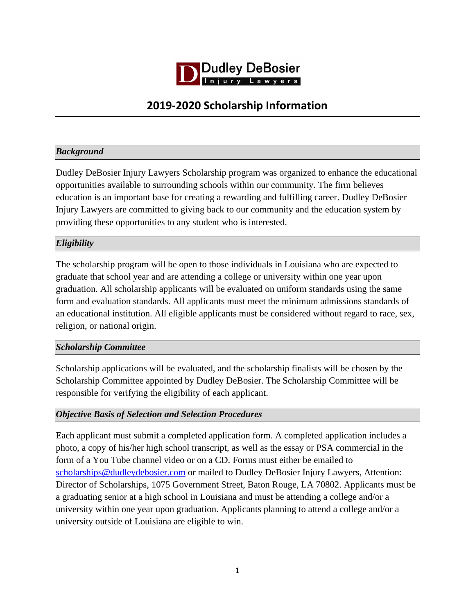

# **2019-2020 Scholarship Information**

## *Background*

Dudley DeBosier Injury Lawyers Scholarship program was organized to enhance the educational opportunities available to surrounding schools within our community. The firm believes education is an important base for creating a rewarding and fulfilling career. Dudley DeBosier Injury Lawyers are committed to giving back to our community and the education system by providing these opportunities to any student who is interested.

### *Eligibility*

The scholarship program will be open to those individuals in Louisiana who are expected to graduate that school year and are attending a college or university within one year upon graduation. All scholarship applicants will be evaluated on uniform standards using the same form and evaluation standards. All applicants must meet the minimum admissions standards of an educational institution. All eligible applicants must be considered without regard to race, sex, religion, or national origin.

#### *Scholarship Committee*

Scholarship applications will be evaluated, and the scholarship finalists will be chosen by the Scholarship Committee appointed by Dudley DeBosier. The Scholarship Committee will be responsible for verifying the eligibility of each applicant.

#### *Objective Basis of Selection and Selection Procedures*

Each applicant must submit a completed application form. A completed application includes a photo, a copy of his/her high school transcript, as well as the essay or PSA commercial in the form of a You Tube channel video or on a CD. Forms must either be emailed to [scholarships@dudleydebosier.com](mailto:edemopulos@dudleydebosier.com) or mailed to Dudley DeBosier Injury Lawyers, Attention: Director of Scholarships, 1075 Government Street, Baton Rouge, LA 70802. Applicants must be a graduating senior at a high school in Louisiana and must be attending a college and/or a university within one year upon graduation. Applicants planning to attend a college and/or a university outside of Louisiana are eligible to win.